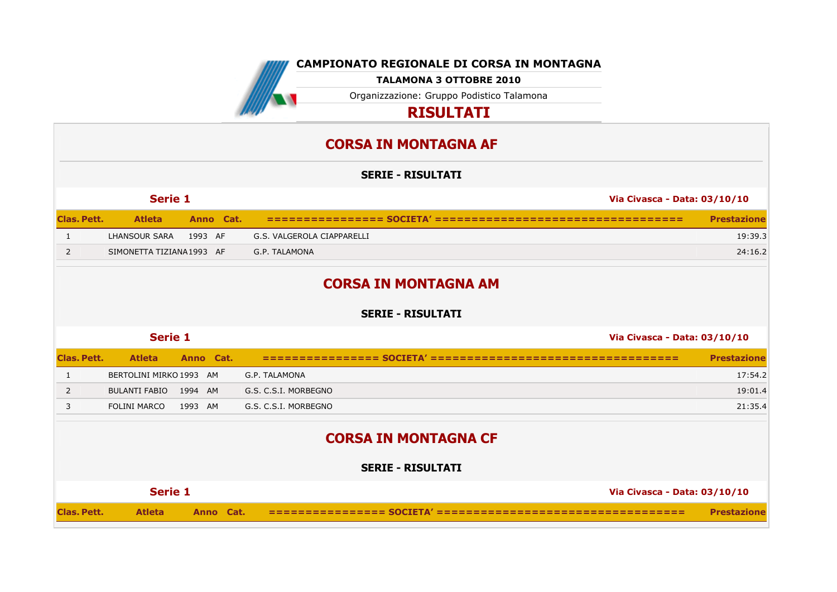

**CAMPIONATO REGIONALE DI CORSA IN MONTAGNA**

| <b>CORSA IN MONTAGNA CF</b> |                          |  |                              |                    |  |  |  |
|-----------------------------|--------------------------|--|------------------------------|--------------------|--|--|--|
|                             | <b>SERIE - RISULTATI</b> |  |                              |                    |  |  |  |
|                             | Serie 1                  |  | Via Civasca - Data: 03/10/10 |                    |  |  |  |
| <b>Clas, Pett.</b>          | <b>Atleta</b>            |  |                              | <b>Prestazione</b> |  |  |  |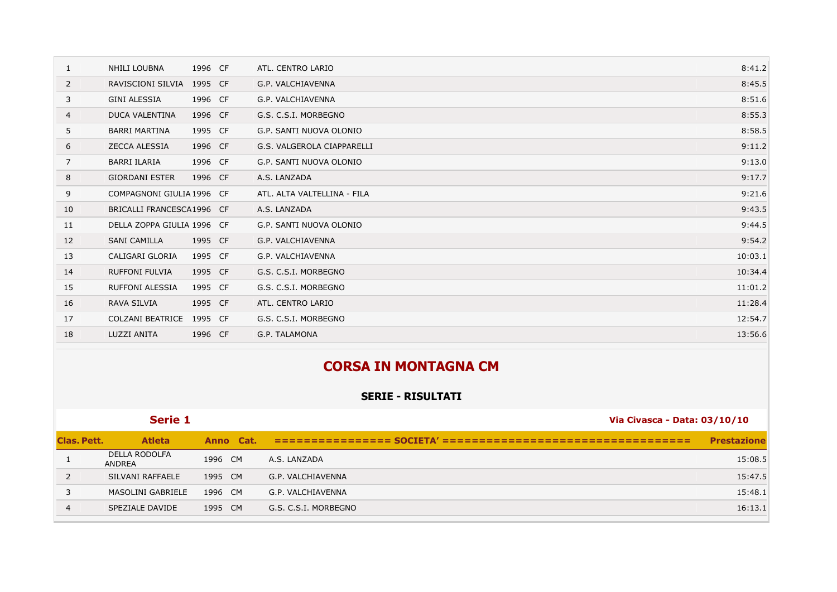| 1              | NHILI LOUBNA               | 1996 CF | ATL. CENTRO LARIO           | 8:41.2  |
|----------------|----------------------------|---------|-----------------------------|---------|
| 2              | RAVISCIONI SILVIA          | 1995 CF | G.P. VALCHIAVENNA           | 8:45.5  |
| 3              | <b>GINI ALESSIA</b>        | 1996 CF | G.P. VALCHIAVENNA           | 8:51.6  |
| $\overline{4}$ | <b>DUCA VALENTINA</b>      | 1996 CF | G.S. C.S.I. MORBEGNO        | 8:55.3  |
| 5              | <b>BARRI MARTINA</b>       | 1995 CF | G.P. SANTI NUOVA OLONIO     | 8:58.5  |
| 6              | <b>ZECCA ALESSIA</b>       | 1996 CF | G.S. VALGEROLA CIAPPARELLI  | 9:11.2  |
| $\overline{7}$ | <b>BARRI ILARIA</b>        | 1996 CF | G.P. SANTI NUOVA OLONIO     | 9:13.0  |
| 8              | <b>GIORDANI ESTER</b>      | 1996 CF | A.S. LANZADA                | 9:17.7  |
| 9              | COMPAGNONI GIULIA 1996 CF  |         | ATL. ALTA VALTELLINA - FILA | 9:21.6  |
| 10             | BRICALLI FRANCESCA1996 CF  |         | A.S. LANZADA                | 9:43.5  |
| 11             | DELLA ZOPPA GIULIA 1996 CF |         | G.P. SANTI NUOVA OLONIO     | 9:44.5  |
| 12             | SANI CAMILLA               | 1995 CF | G.P. VALCHIAVENNA           | 9:54.2  |
| 13             | CALIGARI GLORIA            | 1995 CF | G.P. VALCHIAVENNA           | 10:03.1 |
| 14             | <b>RUFFONI FULVIA</b>      | 1995 CF | G.S. C.S.I. MORBEGNO        | 10:34.4 |
| 15             | <b>RUFFONI ALESSIA</b>     | 1995 CF | G.S. C.S.I. MORBEGNO        | 11:01.2 |
| 16             | RAVA SILVIA                | 1995 CF | ATL. CENTRO LARIO           | 11:28.4 |
| 17             | COLZANI BEATRICE           | 1995 CF | G.S. C.S.I. MORBEGNO        | 12:54.7 |
| 18             | LUZZI ANITA                | 1996 CF | G.P. TALAMONA               | 13:56.6 |

|                | <b>CORSA IN MONTAGNA CM</b>           |           |                                           |                    |  |  |  |
|----------------|---------------------------------------|-----------|-------------------------------------------|--------------------|--|--|--|
|                |                                       |           | <b>SERIE - RISULTATI</b>                  |                    |  |  |  |
|                | Serie 1                               |           | Via Civasca - Data: 03/10/10              |                    |  |  |  |
| Clas, Pett.    | <b>Atleta</b>                         | Anno Cat. | ================= SOCIETA' ============== | <b>Prestazione</b> |  |  |  |
|                | <b>DELLA RODOLFA</b><br><b>ANDREA</b> | 1996 CM   | A.S. LANZADA                              | 15:08.5            |  |  |  |
| $\overline{2}$ | SILVANI RAFFAELE                      | 1995 CM   | G.P. VALCHIAVENNA                         | 15:47.5            |  |  |  |
| 3              | <b>MASOLINI GABRIELE</b>              | 1996 CM   | G.P. VALCHIAVENNA                         | 15:48.1            |  |  |  |
| $\overline{4}$ | SPEZIALE DAVIDE                       | 1995 CM   | G.S. C.S.I. MORBEGNO                      | 16:13.1            |  |  |  |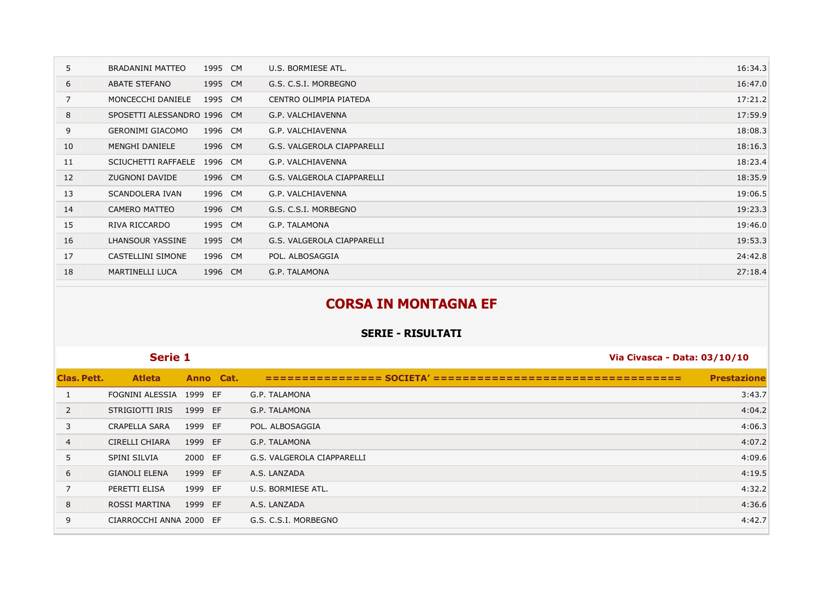| 5  | BRADANINI MATTEO            | 1995 CM | U.S. BORMIESE ATL.         | 16:34.3 |
|----|-----------------------------|---------|----------------------------|---------|
| 6  | ABATE STEFANO               | 1995 CM | G.S. C.S.I. MORBEGNO       | 16:47.0 |
| 7  | MONCECCHI DANIELE           | 1995 CM | CENTRO OLIMPIA PIATEDA     | 17:21.2 |
| 8  | SPOSETTI ALESSANDRO 1996 CM |         | G.P. VALCHIAVENNA          | 17:59.9 |
| 9  | <b>GERONIMI GIACOMO</b>     | 1996 CM | G.P. VALCHIAVENNA          | 18:08.3 |
| 10 | MENGHI DANIELE              | 1996 CM | G.S. VALGEROLA CIAPPARELLI | 18:16.3 |
| 11 | SCIUCHETTI RAFFAELE         | 1996 CM | G.P. VALCHIAVENNA          | 18:23.4 |
| 12 | ZUGNONI DAVIDE              | 1996 CM | G.S. VALGEROLA CIAPPARELLI | 18:35.9 |
| 13 | <b>SCANDOLERA IVAN</b>      | 1996 CM | G.P. VALCHIAVENNA          | 19:06.5 |
| 14 | <b>CAMERO MATTEO</b>        | 1996 CM | G.S. C.S.I. MORBEGNO       | 19:23.3 |
| 15 | RIVA RICCARDO               | 1995 CM | G.P. TALAMONA              | 19:46.0 |
| 16 | LHANSOUR YASSINE            | 1995 CM | G.S. VALGEROLA CIAPPARELLI | 19:53.3 |
| 17 | CASTELLINI SIMONE           | 1996 CM | POL. ALBOSAGGIA            | 24:42.8 |
| 18 | <b>MARTINELLI LUCA</b>      | 1996 CM | G.P. TALAMONA              | 27:18.4 |

## **CORSA IN MONTAGNA EF**

|                | Serie 1                 |           | Via Civasca - Data: 03/10/10 |                    |  |
|----------------|-------------------------|-----------|------------------------------|--------------------|--|
| Clas. Pett.    | <b>Atleta</b>           | Anno Cat. |                              | <b>Prestazione</b> |  |
|                | FOGNINI ALESSIA 1999 EF |           | G.P. TALAMONA                | 3:43.7             |  |
| 2              | STRIGIOTTI IRIS         | 1999 EF   | G.P. TALAMONA                | 4:04.2             |  |
| 3              | <b>CRAPELLA SARA</b>    | 1999 EF   | POL. ALBOSAGGIA              | 4:06.3             |  |
| $\overline{4}$ | <b>CIRELLI CHIARA</b>   | 1999 EF   | G.P. TALAMONA                | 4:07.2             |  |
| 5              | <b>SPINI SILVIA</b>     | 2000 EF   | G.S. VALGEROLA CIAPPARELLI   | 4:09.6             |  |
| 6              | <b>GIANOLI ELENA</b>    | 1999 EF   | A.S. LANZADA                 | 4:19.5             |  |
| $\overline{7}$ | PERETTI ELISA           | 1999 EF   | U.S. BORMIESE ATL.           | 4:32.2             |  |
| 8              | <b>ROSSI MARTINA</b>    | 1999 EF   | A.S. LANZADA                 | 4:36.6             |  |
| 9              | CIARROCCHI ANNA 2000 EF |           | G.S. C.S.I. MORBEGNO         | 4:42.7             |  |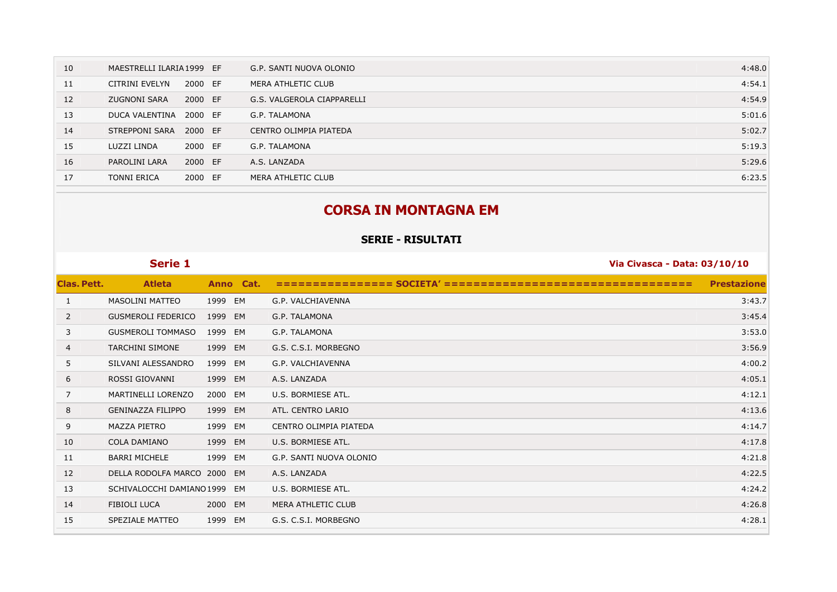| 10 | MAESTRELLI ILARIA 1999 EF |         | G.P. SANTI NUOVA OLONIO    | 4:48.0 |
|----|---------------------------|---------|----------------------------|--------|
| 11 | CITRINI EVELYN            | 2000 EF | MERA ATHLETIC CLUB         | 4:54.1 |
| 12 | <b>ZUGNONI SARA</b>       | 2000 EF | G.S. VALGEROLA CIAPPARELLI | 4:54.9 |
| 13 | DUCA VALENTINA            | 2000 EF | G.P. TALAMONA              | 5:01.6 |
| 14 | STREPPONI SARA            | 2000 EF | CENTRO OLIMPIA PIATEDA     | 5:02.7 |
| 15 | LUZZI LINDA               | 2000 EF | G.P. TALAMONA              | 5:19.3 |
| 16 | PAROLINI LARA             | 2000 EF | A.S. LANZADA               | 5:29.6 |
| 17 | <b>TONNI ERICA</b>        | 2000 EF | MERA ATHLETIC CLUB         | 6:23.5 |

#### **CORSA IN MONTAGNA EM**

|                    | <b>Serie 1</b>              |            | Via Civasca - Data: 03/10/10 |                    |
|--------------------|-----------------------------|------------|------------------------------|--------------------|
| <b>Clas. Pett.</b> | <b>Atleta</b>               | Anno Cat.  | <b>SOCIETA</b>               | <b>Prestazione</b> |
| 1                  | <b>MASOLINI MATTEO</b>      | 1999 EM    | G.P. VALCHIAVENNA            | 3:43.7             |
| 2                  | <b>GUSMEROLI FEDERICO</b>   | 1999 EM    | G.P. TALAMONA                | 3:45.4             |
| 3                  | <b>GUSMEROLI TOMMASO</b>    | 1999<br>EM | G.P. TALAMONA                | 3:53.0             |
| 4                  | <b>TARCHINI SIMONE</b>      | 1999<br>EM | G.S. C.S.I. MORBEGNO         | 3:56.9             |
| 5                  | SILVANI ALESSANDRO          | 1999<br>EM | G.P. VALCHIAVENNA            | 4:00.2             |
| 6                  | ROSSI GIOVANNI              | 1999 EM    | A.S. LANZADA                 | 4:05.1             |
| 7                  | MARTINELLI LORENZO          | 2000 EM    | U.S. BORMIESE ATL.           | 4:12.1             |
| 8                  | <b>GENINAZZA FILIPPO</b>    | 1999 EM    | ATL. CENTRO LARIO            | 4:13.6             |
| 9                  | MAZZA PIETRO                | 1999<br>EM | CENTRO OLIMPIA PIATEDA       | 4:14.7             |
| 10                 | <b>COLA DAMIANO</b>         | 1999<br>EM | U.S. BORMIESE ATL.           | 4:17.8             |
| 11                 | <b>BARRI MICHELE</b>        | 1999<br>EM | G.P. SANTI NUOVA OLONIO      | 4:21.8             |
| 12                 | DELLA RODOLFA MARCO 2000 EM |            | A.S. LANZADA                 | 4:22.5             |
| 13                 | SCHIVALOCCHI DAMIANO 1999   | EM         | U.S. BORMIESE ATL.           | 4:24.2             |
| 14                 | FIBIOLI LUCA                | 2000 EM    | <b>MERA ATHLETIC CLUB</b>    | 4:26.8             |
| 15                 | SPEZIALE MATTEO             | 1999<br>EM | G.S. C.S.I. MORBEGNO         | 4:28.1             |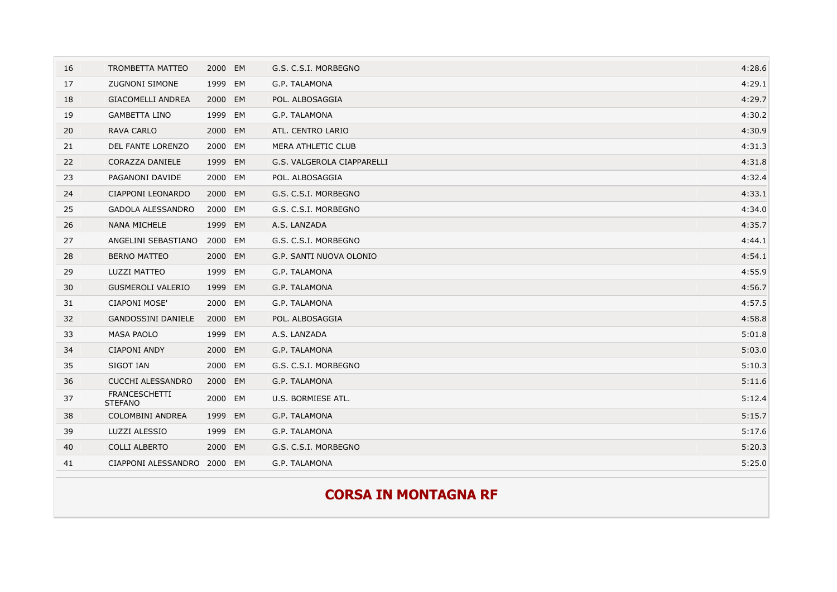## **CORSA IN MONTAGNA RF**

| 16 | <b>TROMBETTA MATTEO</b>                | 2000 EM |           | G.S. C.S.I. MORBEGNO       | 4:28.6 |
|----|----------------------------------------|---------|-----------|----------------------------|--------|
| 17 | <b>ZUGNONI SIMONE</b>                  | 1999 EM |           | G.P. TALAMONA              | 4:29.1 |
| 18 | <b>GIACOMELLI ANDREA</b>               | 2000    | EM        | POL. ALBOSAGGIA            | 4:29.7 |
| 19 | <b>GAMBETTA LINO</b>                   | 1999    | EM        | G.P. TALAMONA              | 4:30.2 |
| 20 | <b>RAVA CARLO</b>                      | 2000 EM |           | ATL. CENTRO LARIO          | 4:30.9 |
| 21 | DEL FANTE LORENZO                      | 2000 EM |           | <b>MERA ATHLETIC CLUB</b>  | 4:31.3 |
| 22 | CORAZZA DANIELE                        | 1999    | EM        | G.S. VALGEROLA CIAPPARELLI | 4:31.8 |
| 23 | PAGANONI DAVIDE                        | 2000 EM |           | POL. ALBOSAGGIA            | 4:32.4 |
| 24 | CIAPPONI LEONARDO                      | 2000 EM |           | G.S. C.S.I. MORBEGNO       | 4:33.1 |
| 25 | <b>GADOLA ALESSANDRO</b>               | 2000 EM |           | G.S. C.S.I. MORBEGNO       | 4:34.0 |
| 26 | <b>NANA MICHELE</b>                    | 1999    | EM        | A.S. LANZADA               | 4:35.7 |
| 27 | ANGELINI SEBASTIANO                    | 2000    | EM        | G.S. C.S.I. MORBEGNO       | 4:44.1 |
| 28 | <b>BERNO MATTEO</b>                    | 2000 EM |           | G.P. SANTI NUOVA OLONIO    | 4:54.1 |
| 29 | LUZZI MATTEO                           | 1999 EM |           | G.P. TALAMONA              | 4:55.9 |
| 30 | <b>GUSMEROLI VALERIO</b>               | 1999    | EM        | G.P. TALAMONA              | 4:56.7 |
| 31 | <b>CIAPONI MOSE'</b>                   | 2000 EM |           | G.P. TALAMONA              | 4:57.5 |
| 32 | <b>GANDOSSINI DANIELE</b>              | 2000    | EM        | POL. ALBOSAGGIA            | 4:58.8 |
| 33 | <b>MASA PAOLO</b>                      | 1999 EM |           | A.S. LANZADA               | 5:01.8 |
| 34 | <b>CIAPONI ANDY</b>                    | 2000 EM |           | G.P. TALAMONA              | 5:03.0 |
| 35 | SIGOT IAN                              | 2000    | EM        | G.S. C.S.I. MORBEGNO       | 5:10.3 |
| 36 | <b>CUCCHI ALESSANDRO</b>               | 2000    | <b>EM</b> | G.P. TALAMONA              | 5:11.6 |
| 37 | <b>FRANCESCHETTI</b><br><b>STEFANO</b> | 2000 EM |           | U.S. BORMIESE ATL.         | 5:12.4 |
| 38 | COLOMBINI ANDREA                       | 1999    | EM        | G.P. TALAMONA              | 5:15.7 |
| 39 | LUZZI ALESSIO                          | 1999 EM |           | G.P. TALAMONA              | 5:17.6 |
| 40 | <b>COLLI ALBERTO</b>                   | 2000 EM |           | G.S. C.S.I. MORBEGNO       | 5:20.3 |
| 41 | CIAPPONI ALESSANDRO                    | 2000 EM |           | G.P. TALAMONA              | 5:25.0 |
|    |                                        |         |           |                            |        |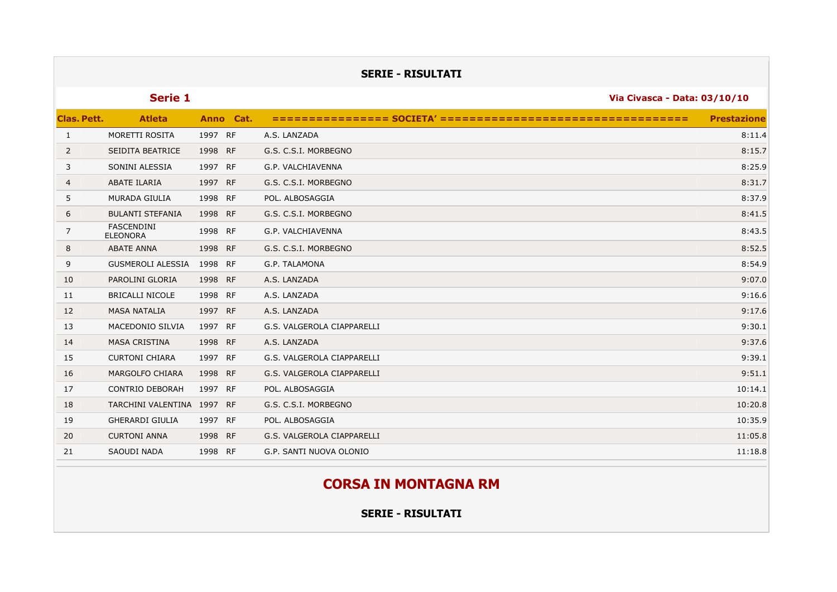|              |                                      |         |           | <b>SERIE - RISULTATI</b>                     |                    |  |
|--------------|--------------------------------------|---------|-----------|----------------------------------------------|--------------------|--|
|              | Serie 1                              |         |           | Via Civasca - Data: 03/10/10                 |                    |  |
| Clas. Pett.  | <b>Atleta</b>                        |         | Anno Cat. | ================= SOCIETA' ================= | <b>Prestazione</b> |  |
| $\mathbf{1}$ | MORETTI ROSITA                       | 1997 RF |           | A.S. LANZADA                                 | 8:11.4             |  |
| 2            | SEIDITA BEATRICE                     | 1998 RF |           | G.S. C.S.I. MORBEGNO                         | 8:15.7             |  |
| 3            | SONINI ALESSIA                       | 1997 RF |           | G.P. VALCHIAVENNA                            | 8:25.9             |  |
| 4            | <b>ABATE ILARIA</b>                  | 1997 RF |           | G.S. C.S.I. MORBEGNO                         | 8:31.7             |  |
| 5            | MURADA GIULIA                        | 1998 RF |           | POL. ALBOSAGGIA                              | 8:37.9             |  |
| 6            | <b>BULANTI STEFANIA</b>              | 1998 RF |           | G.S. C.S.I. MORBEGNO                         | 8:41.5             |  |
| 7            | <b>FASCENDINI</b><br><b>ELEONORA</b> | 1998 RF |           | G.P. VALCHIAVENNA                            | 8:43.5             |  |
| 8            | <b>ABATE ANNA</b>                    | 1998 RF |           | G.S. C.S.I. MORBEGNO                         | 8:52.5             |  |
| 9            | <b>GUSMEROLI ALESSIA</b>             | 1998 RF |           | G.P. TALAMONA                                | 8:54.9             |  |
| 10           | PAROLINI GLORIA                      | 1998 RF |           | A.S. LANZADA                                 | 9:07.0             |  |
| 11           | <b>BRICALLI NICOLE</b>               | 1998 RF |           | A.S. LANZADA                                 | 9:16.6             |  |
| 12           | <b>MASA NATALIA</b>                  | 1997 RF |           | A.S. LANZADA                                 | 9:17.6             |  |
| 13           | MACEDONIO SILVIA                     | 1997 RF |           | G.S. VALGEROLA CIAPPARELLI                   | 9:30.1             |  |
| 14           | <b>MASA CRISTINA</b>                 | 1998 RF |           | A.S. LANZADA                                 | 9:37.6             |  |
| 15           | <b>CURTONI CHIARA</b>                | 1997 RF |           | G.S. VALGEROLA CIAPPARELLI                   | 9:39.1             |  |
| 16           | MARGOLFO CHIARA                      | 1998 RF |           | G.S. VALGEROLA CIAPPARELLI                   | 9:51.1             |  |
| 17           | <b>CONTRIO DEBORAH</b>               | 1997 RF |           | POL. ALBOSAGGIA                              | 10:14.1            |  |
| 18           | TARCHINI VALENTINA 1997 RF           |         |           | G.S. C.S.I. MORBEGNO                         | 10:20.8            |  |
| 19           | <b>GHERARDI GIULIA</b>               | 1997 RF |           | POL. ALBOSAGGIA                              | 10:35.9            |  |
| 20           | <b>CURTONI ANNA</b>                  | 1998 RF |           | G.S. VALGEROLA CIAPPARELLI                   | 11:05.8            |  |
| 21           | SAOUDI NADA                          | 1998 RF |           | G.P. SANTI NUOVA OLONIO                      | 11:18.8            |  |
|              |                                      |         |           |                                              |                    |  |

# **CORSA IN MONTAGNA RM**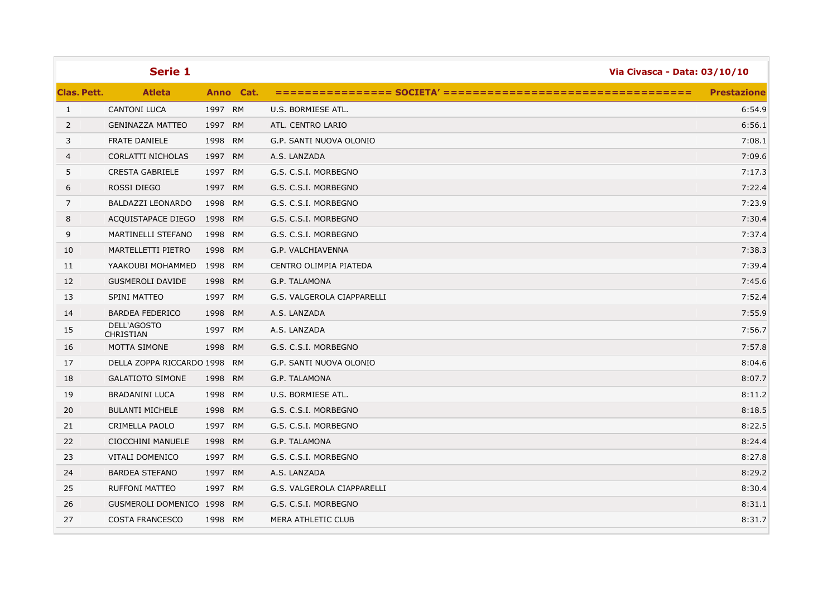| <b>Clas. Pett.</b><br><b>Atleta</b><br>Anno Cat.<br><b>Prestazione</b><br><b>CANTONI LUCA</b><br>1997 RM<br>$\mathbf{1}$<br>U.S. BORMIESE ATL.<br>6:54.9<br>$\overline{2}$<br><b>GENINAZZA MATTEO</b><br>1997 RM<br>ATL. CENTRO LARIO<br>6:56.1<br>3<br><b>FRATE DANIELE</b><br>1998 RM<br>7:08.1<br>G.P. SANTI NUOVA OLONIO<br>CORLATTI NICHOLAS<br>1997 RM<br>A.S. LANZADA<br>7:09.6<br>4<br><b>CRESTA GABRIELE</b><br>G.S. C.S.I. MORBEGNO<br>7:17.3<br>5<br>1997 RM<br>6<br>7:22.4<br>ROSSI DIEGO<br>1997 RM<br>G.S. C.S.I. MORBEGNO<br>7<br>BALDAZZI LEONARDO<br>7:23.9<br>1998<br>RM<br>G.S. C.S.I. MORBEGNO<br>8<br>ACQUISTAPACE DIEGO<br>1998 RM<br>G.S. C.S.I. MORBEGNO<br>7:30.4<br>7:37.4<br>9<br>1998<br><b>RM</b><br>G.S. C.S.I. MORBEGNO<br>MARTINELLI STEFANO<br>10<br>MARTELLETTI PIETRO<br>1998 RM<br>7:38.3<br>G.P. VALCHIAVENNA<br>YAAKOUBI MOHAMMED<br>1998<br><b>RM</b><br>CENTRO OLIMPIA PIATEDA<br>7:39.4<br>11<br>7:45.6<br>12<br><b>GUSMEROLI DAVIDE</b><br>1998 RM<br>G.P. TALAMONA<br>7:52.4<br>13<br>SPINI MATTEO<br>1997 RM<br>G.S. VALGEROLA CIAPPARELLI<br>7:55.9<br>14<br><b>BARDEA FEDERICO</b><br>1998 RM<br>A.S. LANZADA<br>DELL'AGOSTO<br>15<br>1997 RM<br>A.S. LANZADA<br>7:56.7<br><b>CHRISTIAN</b><br><b>MOTTA SIMONE</b><br>1998 RM<br>G.S. C.S.I. MORBEGNO<br>7:57.8<br>16<br>17<br>DELLA ZOPPA RICCARDO 1998<br><b>RM</b><br>G.P. SANTI NUOVA OLONIO<br>8:04.6<br>18<br><b>GALATIOTO SIMONE</b><br>1998 RM<br>G.P. TALAMONA<br>8:07.7<br>19<br><b>BRADANINI LUCA</b><br>1998<br><b>RM</b><br>U.S. BORMIESE ATL.<br>8:11.2<br><b>BULANTI MICHELE</b><br>1998 RM<br>G.S. C.S.I. MORBEGNO<br>8:18.5<br>20<br>8:22.5<br>21<br><b>CRIMELLA PAOLO</b><br>1997<br><b>RM</b><br>G.S. C.S.I. MORBEGNO<br>22<br>1998 RM<br>G.P. TALAMONA<br>8:24.4<br><b>CIOCCHINI MANUELE</b><br>23<br>VITALI DOMENICO<br>1997 RM<br>G.S. C.S.I. MORBEGNO<br>8:27.8<br>8:29.2<br>24<br><b>BARDEA STEFANO</b><br>1997 RM<br>A.S. LANZADA<br>8:30.4<br>25<br><b>RUFFONI MATTEO</b><br>1997 RM<br>G.S. VALGEROLA CIAPPARELLI<br>26<br>GUSMEROLI DOMENICO 1998 RM<br>G.S. C.S.I. MORBEGNO<br>8:31.1<br>8:31.7<br>27<br><b>COSTA FRANCESCO</b><br>1998 RM<br>MERA ATHLETIC CLUB | Serie 1 |  | Via Civasca - Data: 03/10/10 |
|---------------------------------------------------------------------------------------------------------------------------------------------------------------------------------------------------------------------------------------------------------------------------------------------------------------------------------------------------------------------------------------------------------------------------------------------------------------------------------------------------------------------------------------------------------------------------------------------------------------------------------------------------------------------------------------------------------------------------------------------------------------------------------------------------------------------------------------------------------------------------------------------------------------------------------------------------------------------------------------------------------------------------------------------------------------------------------------------------------------------------------------------------------------------------------------------------------------------------------------------------------------------------------------------------------------------------------------------------------------------------------------------------------------------------------------------------------------------------------------------------------------------------------------------------------------------------------------------------------------------------------------------------------------------------------------------------------------------------------------------------------------------------------------------------------------------------------------------------------------------------------------------------------------------------------------------------------------------------------------------------------------------------------------------------------------------------------------------------------------------------------------------------------------------------------------------|---------|--|------------------------------|
|                                                                                                                                                                                                                                                                                                                                                                                                                                                                                                                                                                                                                                                                                                                                                                                                                                                                                                                                                                                                                                                                                                                                                                                                                                                                                                                                                                                                                                                                                                                                                                                                                                                                                                                                                                                                                                                                                                                                                                                                                                                                                                                                                                                             |         |  |                              |
|                                                                                                                                                                                                                                                                                                                                                                                                                                                                                                                                                                                                                                                                                                                                                                                                                                                                                                                                                                                                                                                                                                                                                                                                                                                                                                                                                                                                                                                                                                                                                                                                                                                                                                                                                                                                                                                                                                                                                                                                                                                                                                                                                                                             |         |  |                              |
|                                                                                                                                                                                                                                                                                                                                                                                                                                                                                                                                                                                                                                                                                                                                                                                                                                                                                                                                                                                                                                                                                                                                                                                                                                                                                                                                                                                                                                                                                                                                                                                                                                                                                                                                                                                                                                                                                                                                                                                                                                                                                                                                                                                             |         |  |                              |
|                                                                                                                                                                                                                                                                                                                                                                                                                                                                                                                                                                                                                                                                                                                                                                                                                                                                                                                                                                                                                                                                                                                                                                                                                                                                                                                                                                                                                                                                                                                                                                                                                                                                                                                                                                                                                                                                                                                                                                                                                                                                                                                                                                                             |         |  |                              |
|                                                                                                                                                                                                                                                                                                                                                                                                                                                                                                                                                                                                                                                                                                                                                                                                                                                                                                                                                                                                                                                                                                                                                                                                                                                                                                                                                                                                                                                                                                                                                                                                                                                                                                                                                                                                                                                                                                                                                                                                                                                                                                                                                                                             |         |  |                              |
|                                                                                                                                                                                                                                                                                                                                                                                                                                                                                                                                                                                                                                                                                                                                                                                                                                                                                                                                                                                                                                                                                                                                                                                                                                                                                                                                                                                                                                                                                                                                                                                                                                                                                                                                                                                                                                                                                                                                                                                                                                                                                                                                                                                             |         |  |                              |
|                                                                                                                                                                                                                                                                                                                                                                                                                                                                                                                                                                                                                                                                                                                                                                                                                                                                                                                                                                                                                                                                                                                                                                                                                                                                                                                                                                                                                                                                                                                                                                                                                                                                                                                                                                                                                                                                                                                                                                                                                                                                                                                                                                                             |         |  |                              |
|                                                                                                                                                                                                                                                                                                                                                                                                                                                                                                                                                                                                                                                                                                                                                                                                                                                                                                                                                                                                                                                                                                                                                                                                                                                                                                                                                                                                                                                                                                                                                                                                                                                                                                                                                                                                                                                                                                                                                                                                                                                                                                                                                                                             |         |  |                              |
|                                                                                                                                                                                                                                                                                                                                                                                                                                                                                                                                                                                                                                                                                                                                                                                                                                                                                                                                                                                                                                                                                                                                                                                                                                                                                                                                                                                                                                                                                                                                                                                                                                                                                                                                                                                                                                                                                                                                                                                                                                                                                                                                                                                             |         |  |                              |
|                                                                                                                                                                                                                                                                                                                                                                                                                                                                                                                                                                                                                                                                                                                                                                                                                                                                                                                                                                                                                                                                                                                                                                                                                                                                                                                                                                                                                                                                                                                                                                                                                                                                                                                                                                                                                                                                                                                                                                                                                                                                                                                                                                                             |         |  |                              |
|                                                                                                                                                                                                                                                                                                                                                                                                                                                                                                                                                                                                                                                                                                                                                                                                                                                                                                                                                                                                                                                                                                                                                                                                                                                                                                                                                                                                                                                                                                                                                                                                                                                                                                                                                                                                                                                                                                                                                                                                                                                                                                                                                                                             |         |  |                              |
|                                                                                                                                                                                                                                                                                                                                                                                                                                                                                                                                                                                                                                                                                                                                                                                                                                                                                                                                                                                                                                                                                                                                                                                                                                                                                                                                                                                                                                                                                                                                                                                                                                                                                                                                                                                                                                                                                                                                                                                                                                                                                                                                                                                             |         |  |                              |
|                                                                                                                                                                                                                                                                                                                                                                                                                                                                                                                                                                                                                                                                                                                                                                                                                                                                                                                                                                                                                                                                                                                                                                                                                                                                                                                                                                                                                                                                                                                                                                                                                                                                                                                                                                                                                                                                                                                                                                                                                                                                                                                                                                                             |         |  |                              |
|                                                                                                                                                                                                                                                                                                                                                                                                                                                                                                                                                                                                                                                                                                                                                                                                                                                                                                                                                                                                                                                                                                                                                                                                                                                                                                                                                                                                                                                                                                                                                                                                                                                                                                                                                                                                                                                                                                                                                                                                                                                                                                                                                                                             |         |  |                              |
|                                                                                                                                                                                                                                                                                                                                                                                                                                                                                                                                                                                                                                                                                                                                                                                                                                                                                                                                                                                                                                                                                                                                                                                                                                                                                                                                                                                                                                                                                                                                                                                                                                                                                                                                                                                                                                                                                                                                                                                                                                                                                                                                                                                             |         |  |                              |
|                                                                                                                                                                                                                                                                                                                                                                                                                                                                                                                                                                                                                                                                                                                                                                                                                                                                                                                                                                                                                                                                                                                                                                                                                                                                                                                                                                                                                                                                                                                                                                                                                                                                                                                                                                                                                                                                                                                                                                                                                                                                                                                                                                                             |         |  |                              |
|                                                                                                                                                                                                                                                                                                                                                                                                                                                                                                                                                                                                                                                                                                                                                                                                                                                                                                                                                                                                                                                                                                                                                                                                                                                                                                                                                                                                                                                                                                                                                                                                                                                                                                                                                                                                                                                                                                                                                                                                                                                                                                                                                                                             |         |  |                              |
|                                                                                                                                                                                                                                                                                                                                                                                                                                                                                                                                                                                                                                                                                                                                                                                                                                                                                                                                                                                                                                                                                                                                                                                                                                                                                                                                                                                                                                                                                                                                                                                                                                                                                                                                                                                                                                                                                                                                                                                                                                                                                                                                                                                             |         |  |                              |
|                                                                                                                                                                                                                                                                                                                                                                                                                                                                                                                                                                                                                                                                                                                                                                                                                                                                                                                                                                                                                                                                                                                                                                                                                                                                                                                                                                                                                                                                                                                                                                                                                                                                                                                                                                                                                                                                                                                                                                                                                                                                                                                                                                                             |         |  |                              |
|                                                                                                                                                                                                                                                                                                                                                                                                                                                                                                                                                                                                                                                                                                                                                                                                                                                                                                                                                                                                                                                                                                                                                                                                                                                                                                                                                                                                                                                                                                                                                                                                                                                                                                                                                                                                                                                                                                                                                                                                                                                                                                                                                                                             |         |  |                              |
|                                                                                                                                                                                                                                                                                                                                                                                                                                                                                                                                                                                                                                                                                                                                                                                                                                                                                                                                                                                                                                                                                                                                                                                                                                                                                                                                                                                                                                                                                                                                                                                                                                                                                                                                                                                                                                                                                                                                                                                                                                                                                                                                                                                             |         |  |                              |
|                                                                                                                                                                                                                                                                                                                                                                                                                                                                                                                                                                                                                                                                                                                                                                                                                                                                                                                                                                                                                                                                                                                                                                                                                                                                                                                                                                                                                                                                                                                                                                                                                                                                                                                                                                                                                                                                                                                                                                                                                                                                                                                                                                                             |         |  |                              |
|                                                                                                                                                                                                                                                                                                                                                                                                                                                                                                                                                                                                                                                                                                                                                                                                                                                                                                                                                                                                                                                                                                                                                                                                                                                                                                                                                                                                                                                                                                                                                                                                                                                                                                                                                                                                                                                                                                                                                                                                                                                                                                                                                                                             |         |  |                              |
|                                                                                                                                                                                                                                                                                                                                                                                                                                                                                                                                                                                                                                                                                                                                                                                                                                                                                                                                                                                                                                                                                                                                                                                                                                                                                                                                                                                                                                                                                                                                                                                                                                                                                                                                                                                                                                                                                                                                                                                                                                                                                                                                                                                             |         |  |                              |
|                                                                                                                                                                                                                                                                                                                                                                                                                                                                                                                                                                                                                                                                                                                                                                                                                                                                                                                                                                                                                                                                                                                                                                                                                                                                                                                                                                                                                                                                                                                                                                                                                                                                                                                                                                                                                                                                                                                                                                                                                                                                                                                                                                                             |         |  |                              |
|                                                                                                                                                                                                                                                                                                                                                                                                                                                                                                                                                                                                                                                                                                                                                                                                                                                                                                                                                                                                                                                                                                                                                                                                                                                                                                                                                                                                                                                                                                                                                                                                                                                                                                                                                                                                                                                                                                                                                                                                                                                                                                                                                                                             |         |  |                              |
|                                                                                                                                                                                                                                                                                                                                                                                                                                                                                                                                                                                                                                                                                                                                                                                                                                                                                                                                                                                                                                                                                                                                                                                                                                                                                                                                                                                                                                                                                                                                                                                                                                                                                                                                                                                                                                                                                                                                                                                                                                                                                                                                                                                             |         |  |                              |
|                                                                                                                                                                                                                                                                                                                                                                                                                                                                                                                                                                                                                                                                                                                                                                                                                                                                                                                                                                                                                                                                                                                                                                                                                                                                                                                                                                                                                                                                                                                                                                                                                                                                                                                                                                                                                                                                                                                                                                                                                                                                                                                                                                                             |         |  |                              |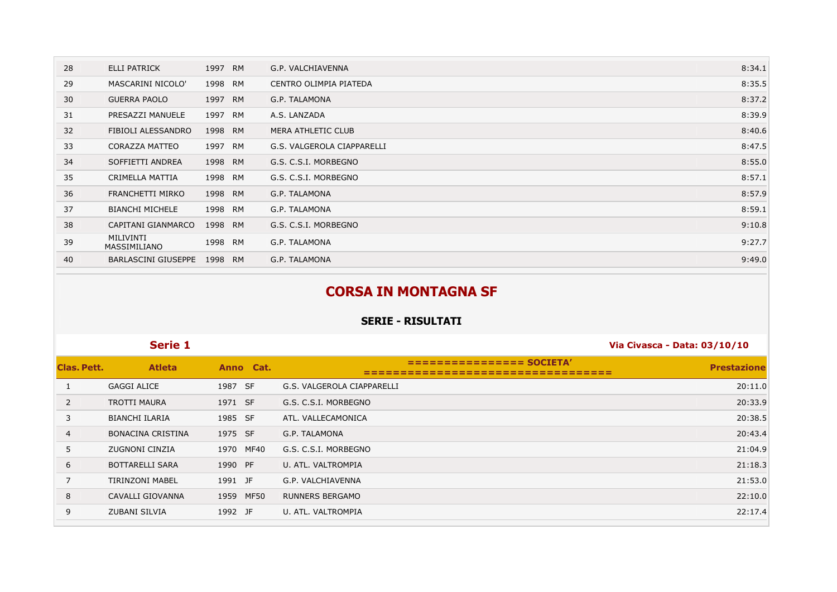| 28 | <b>ELLI PATRICK</b>        | 1997 RM | G.P. VALCHIAVENNA          | 8:34.1 |
|----|----------------------------|---------|----------------------------|--------|
| 29 | MASCARINI NICOLO'          | 1998 RM | CENTRO OLIMPIA PIATEDA     | 8:35.5 |
| 30 | <b>GUERRA PAOLO</b>        | 1997 RM | G.P. TALAMONA              | 8:37.2 |
| 31 | PRESAZZI MANUELE           | 1997 RM | A.S. LANZADA               | 8:39.9 |
| 32 | FIBIOLI ALESSANDRO         | 1998 RM | <b>MERA ATHLETIC CLUB</b>  | 8:40.6 |
| 33 | CORAZZA MATTEO             | 1997 RM | G.S. VALGEROLA CIAPPARELLI | 8:47.5 |
| 34 | SOFFIETTI ANDREA           | 1998 RM | G.S. C.S.I. MORBEGNO       | 8:55.0 |
| 35 | CRIMELLA MATTIA            | 1998 RM | G.S. C.S.I. MORBEGNO       | 8:57.1 |
| 36 | FRANCHETTI MIRKO           | 1998 RM | G.P. TALAMONA              | 8:57.9 |
| 37 | <b>BIANCHI MICHELE</b>     | 1998 RM | G.P. TALAMONA              | 8:59.1 |
| 38 | CAPITANI GIANMARCO         | 1998 RM | G.S. C.S.I. MORBEGNO       | 9:10.8 |
| 39 | MILIVINTI<br>MASSIMILIANO  | 1998 RM | G.P. TALAMONA              | 9:27.7 |
| 40 | <b>BARLASCINI GIUSEPPE</b> | 1998 RM | G.P. TALAMONA              | 9:49.0 |

## **CORSA IN MONTAGNA SF**

|                | Serie 1                  |                     |                            | Via Civasca - Data: 03/10/10 |
|----------------|--------------------------|---------------------|----------------------------|------------------------------|
| Clas. Pett.    | <b>Atleta</b>            | Anno Cat.           |                            | <b>Prestazione</b>           |
|                | GAGGI ALICE              | 1987 SF             | G.S. VALGEROLA CIAPPARELLI | 20:11.0                      |
| 2              | <b>TROTTI MAURA</b>      | 1971 SF             | G.S. C.S.I. MORBEGNO       | 20:33.9                      |
| 3              | <b>BIANCHI ILARIA</b>    | 1985 SF             | ATL. VALLECAMONICA         | 20:38.5                      |
| $\overline{4}$ | <b>BONACINA CRISTINA</b> | 1975 SF             | G.P. TALAMONA              | 20:43.4                      |
| 5              | ZUGNONI CINZIA           | MF40<br>1970        | G.S. C.S.I. MORBEGNO       | 21:04.9                      |
| 6              | <b>BOTTARELLI SARA</b>   | 1990 PF             | U. ATL. VALTROMPIA         | 21:18.3                      |
| 7              | <b>TIRINZONI MABEL</b>   | 1991 JF             | G.P. VALCHIAVENNA          | 21:53.0                      |
| 8              | CAVALLI GIOVANNA         | <b>MF50</b><br>1959 | <b>RUNNERS BERGAMO</b>     | 22:10.0                      |
| 9              | ZUBANI SILVIA            | 1992 JF             | U. ATL. VALTROMPIA         | 22:17.4                      |
|                |                          |                     |                            |                              |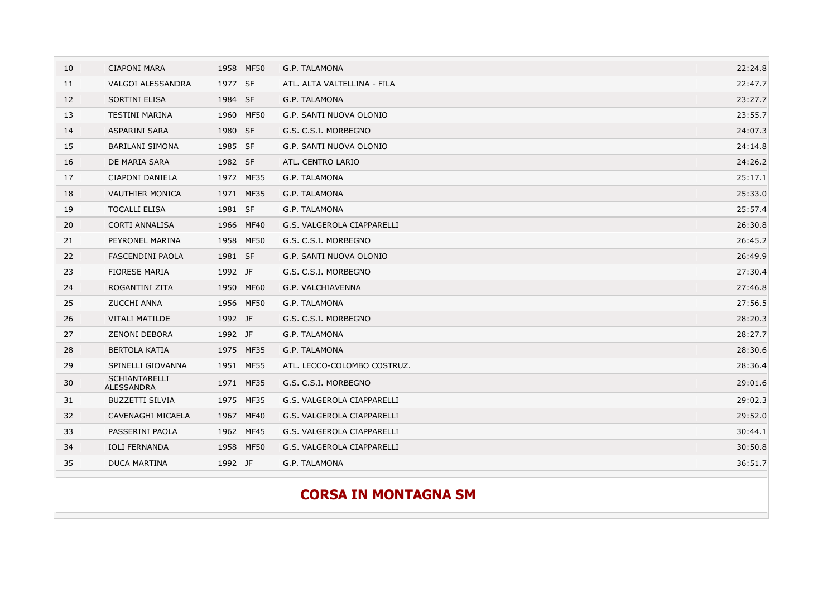| 10 | <b>CIAPONI MARA</b>                | 1958 MF50 | G.P. TALAMONA               | 22:24.8 |
|----|------------------------------------|-----------|-----------------------------|---------|
| 11 | <b>VALGOI ALESSANDRA</b>           | 1977 SF   | ATL. ALTA VALTELLINA - FILA | 22:47.7 |
| 12 | SORTINI ELISA                      | 1984 SF   | G.P. TALAMONA               | 23:27.7 |
| 13 | <b>TESTINI MARINA</b>              | 1960 MF50 | G.P. SANTI NUOVA OLONIO     | 23:55.7 |
| 14 | ASPARINI SARA                      | 1980 SF   | G.S. C.S.I. MORBEGNO        | 24:07.3 |
| 15 | <b>BARILANI SIMONA</b>             | 1985 SF   | G.P. SANTI NUOVA OLONIO     | 24:14.8 |
| 16 | DE MARIA SARA                      | 1982 SF   | ATL. CENTRO LARIO           | 24:26.2 |
| 17 | CIAPONI DANIELA                    | 1972 MF35 | G.P. TALAMONA               | 25:17.1 |
| 18 | <b>VAUTHIER MONICA</b>             | 1971 MF35 | G.P. TALAMONA               | 25:33.0 |
| 19 | <b>TOCALLI ELISA</b>               | 1981 SF   | G.P. TALAMONA               | 25:57.4 |
| 20 | <b>CORTI ANNALISA</b>              | 1966 MF40 | G.S. VALGEROLA CIAPPARELLI  | 26:30.8 |
| 21 | PEYRONEL MARINA                    | 1958 MF50 | G.S. C.S.I. MORBEGNO        | 26:45.2 |
| 22 | FASCENDINI PAOLA                   | 1981 SF   | G.P. SANTI NUOVA OLONIO     | 26:49.9 |
| 23 | <b>FIORESE MARIA</b>               | 1992 JF   | G.S. C.S.I. MORBEGNO        | 27:30.4 |
| 24 | ROGANTINI ZITA                     | 1950 MF60 | G.P. VALCHIAVENNA           | 27:46.8 |
| 25 | <b>ZUCCHI ANNA</b>                 | 1956 MF50 | G.P. TALAMONA               | 27:56.5 |
| 26 | <b>VITALI MATILDE</b>              | 1992 JF   | G.S. C.S.I. MORBEGNO        | 28:20.3 |
| 27 | <b>ZENONI DEBORA</b>               | 1992 JF   | G.P. TALAMONA               | 28:27.7 |
| 28 | <b>BERTOLA KATIA</b>               | 1975 MF35 | G.P. TALAMONA               | 28:30.6 |
| 29 | SPINELLI GIOVANNA                  | 1951 MF55 | ATL. LECCO-COLOMBO COSTRUZ. | 28:36.4 |
| 30 | <b>SCHIANTARELLI</b><br>ALESSANDRA | 1971 MF35 | G.S. C.S.I. MORBEGNO        | 29:01.6 |
| 31 | <b>BUZZETTI SILVIA</b>             | 1975 MF35 | G.S. VALGEROLA CIAPPARELLI  | 29:02.3 |
| 32 | CAVENAGHI MICAELA                  | 1967 MF40 | G.S. VALGEROLA CIAPPARELLI  | 29:52.0 |
| 33 | PASSERINI PAOLA                    | 1962 MF45 | G.S. VALGEROLA CIAPPARELLI  | 30:44.1 |
| 34 | <b>IOLI FERNANDA</b>               | 1958 MF50 | G.S. VALGEROLA CIAPPARELLI  | 30:50.8 |
| 35 | <b>DUCA MARTINA</b>                | 1992 JF   | G.P. TALAMONA               | 36:51.7 |
|    |                                    |           |                             |         |
|    |                                    |           | <b>CORSA IN MONTAGNA SM</b> |         |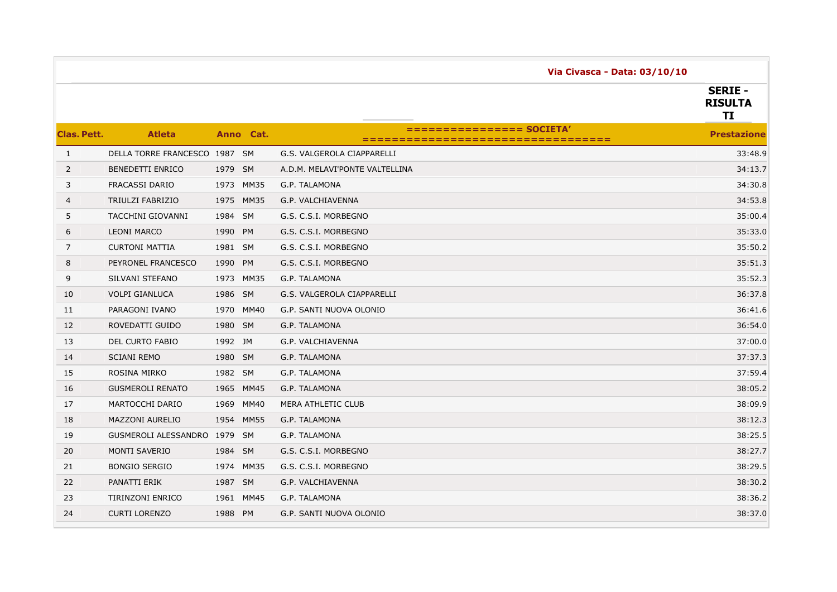|                    |                               |           |             | Via Civasca - Data: 03/10/10   |                                        |
|--------------------|-------------------------------|-----------|-------------|--------------------------------|----------------------------------------|
|                    |                               |           |             |                                | <b>SERIE -</b><br><b>RISULTA</b><br>TI |
| <b>Clas, Pett.</b> | <b>Atleta</b>                 |           | Anno Cat.   | =====                          | <b>Prestazione</b>                     |
| $\mathbf{1}$       | DELLA TORRE FRANCESCO 1987 SM |           |             | G.S. VALGEROLA CIAPPARELLI     | 33:48.9                                |
| $\overline{2}$     | <b>BENEDETTI ENRICO</b>       | 1979 SM   |             | A.D.M. MELAVI'PONTE VALTELLINA | 34:13.7                                |
| 3                  | <b>FRACASSI DARIO</b>         | 1973      | <b>MM35</b> | G.P. TALAMONA                  | 34:30.8                                |
| 4                  | TRIULZI FABRIZIO              | 1975      | <b>MM35</b> | G.P. VALCHIAVENNA              | 34:53.8                                |
| 5                  | TACCHINI GIOVANNI             | 1984 SM   |             | G.S. C.S.I. MORBEGNO           | 35:00.4                                |
| 6                  | <b>LEONI MARCO</b>            | 1990      | <b>PM</b>   | G.S. C.S.I. MORBEGNO           | 35:33.0                                |
| $\overline{7}$     | <b>CURTONI MATTIA</b>         | 1981 SM   |             | G.S. C.S.I. MORBEGNO           | 35:50.2                                |
| 8                  | PEYRONEL FRANCESCO            | 1990      | <b>PM</b>   | G.S. C.S.I. MORBEGNO           | 35:51.3                                |
| 9                  | SILVANI STEFANO               | 1973      | <b>MM35</b> | G.P. TALAMONA                  | 35:52.3                                |
| 10                 | <b>VOLPI GIANLUCA</b>         | 1986 SM   |             | G.S. VALGEROLA CIAPPARELLI     | 36:37.8                                |
| 11                 | PARAGONI IVANO                | 1970      | MM40        | G.P. SANTI NUOVA OLONIO        | 36:41.6                                |
| 12                 | ROVEDATTI GUIDO               | 1980 SM   |             | G.P. TALAMONA                  | 36:54.0                                |
| 13                 | <b>DEL CURTO FABIO</b>        | 1992 JM   |             | G.P. VALCHIAVENNA              | 37:00.0                                |
| 14                 | <b>SCIANI REMO</b>            | 1980 SM   |             | G.P. TALAMONA                  | 37:37.3                                |
| 15                 | ROSINA MIRKO                  | 1982 SM   |             | G.P. TALAMONA                  | 37:59.4                                |
| 16                 | <b>GUSMEROLI RENATO</b>       | 1965 MM45 |             | G.P. TALAMONA                  | 38:05.2                                |
| 17                 | MARTOCCHI DARIO               | 1969      | <b>MM40</b> | MERA ATHLETIC CLUB             | 38:09.9                                |
| 18                 | <b>MAZZONI AURELIO</b>        | 1954 MM55 |             | G.P. TALAMONA                  | 38:12.3                                |
| 19                 | GUSMEROLI ALESSANDRO 1979 SM  |           |             | G.P. TALAMONA                  | 38:25.5                                |
| 20                 | <b>MONTI SAVERIO</b>          | 1984 SM   |             | G.S. C.S.I. MORBEGNO           | 38:27.7                                |
| 21                 | <b>BONGIO SERGIO</b>          | 1974      | MM35        | G.S. C.S.I. MORBEGNO           | 38:29.5                                |
| 22                 | PANATTI ERIK                  | 1987 SM   |             | G.P. VALCHIAVENNA              | 38:30.2                                |
| 23                 | <b>TIRINZONI ENRICO</b>       | 1961 MM45 |             | G.P. TALAMONA                  | 38:36.2                                |
| 24                 | <b>CURTI LORENZO</b>          | 1988 PM   |             | G.P. SANTI NUOVA OLONIO        | 38:37.0                                |
|                    |                               |           |             |                                |                                        |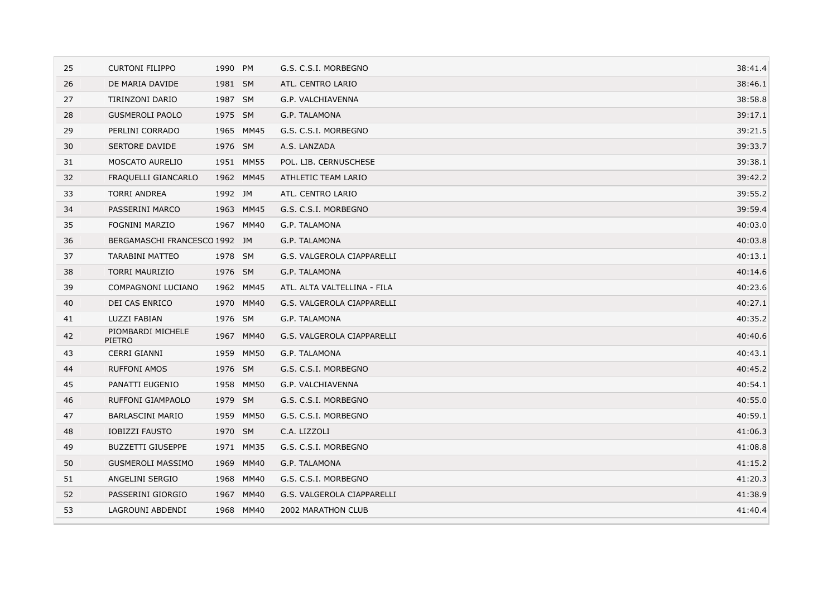| 25 | <b>CURTONI FILIPPO</b>             | 1990 PM |             | G.S. C.S.I. MORBEGNO        | 38:41.4 |
|----|------------------------------------|---------|-------------|-----------------------------|---------|
| 26 | DE MARIA DAVIDE                    | 1981 SM |             | ATL. CENTRO LARIO           | 38:46.1 |
| 27 | TIRINZONI DARIO                    | 1987 SM |             | G.P. VALCHIAVENNA           | 38:58.8 |
| 28 | <b>GUSMEROLI PAOLO</b>             | 1975 SM |             | G.P. TALAMONA               | 39:17.1 |
| 29 | PERLINI CORRADO                    |         | 1965 MM45   | G.S. C.S.I. MORBEGNO        | 39:21.5 |
| 30 | <b>SERTORE DAVIDE</b>              | 1976 SM |             | A.S. LANZADA                | 39:33.7 |
| 31 | <b>MOSCATO AURELIO</b>             |         | 1951 MM55   | POL. LIB. CERNUSCHESE       | 39:38.1 |
| 32 | FRAQUELLI GIANCARLO                |         | 1962 MM45   | ATHLETIC TEAM LARIO         | 39:42.2 |
| 33 | <b>TORRI ANDREA</b>                | 1992 JM |             | ATL. CENTRO LARIO           | 39:55.2 |
| 34 | PASSERINI MARCO                    |         | 1963 MM45   | G.S. C.S.I. MORBEGNO        | 39:59.4 |
| 35 | <b>FOGNINI MARZIO</b>              |         | 1967 MM40   | G.P. TALAMONA               | 40:03.0 |
| 36 | BERGAMASCHI FRANCESCO 1992 JM      |         |             | G.P. TALAMONA               | 40:03.8 |
| 37 | <b>TARABINI MATTEO</b>             | 1978 SM |             | G.S. VALGEROLA CIAPPARELLI  | 40:13.1 |
| 38 | <b>TORRI MAURIZIO</b>              | 1976 SM |             | G.P. TALAMONA               | 40:14.6 |
| 39 | COMPAGNONI LUCIANO                 |         | 1962 MM45   | ATL. ALTA VALTELLINA - FILA | 40:23.6 |
| 40 | DEI CAS ENRICO                     |         | 1970 MM40   | G.S. VALGEROLA CIAPPARELLI  | 40:27.1 |
| 41 | LUZZI FABIAN                       | 1976 SM |             | G.P. TALAMONA               | 40:35.2 |
| 42 | PIOMBARDI MICHELE<br><b>PIETRO</b> |         | 1967 MM40   | G.S. VALGEROLA CIAPPARELLI  | 40:40.6 |
| 43 | <b>CERRI GIANNI</b>                | 1959    | <b>MM50</b> | G.P. TALAMONA               | 40:43.1 |
| 44 | <b>RUFFONI AMOS</b>                | 1976 SM |             | G.S. C.S.I. MORBEGNO        | 40:45.2 |
| 45 | PANATTI EUGENIO                    |         | 1958 MM50   | G.P. VALCHIAVENNA           | 40:54.1 |
| 46 | RUFFONI GIAMPAOLO                  | 1979 SM |             | G.S. C.S.I. MORBEGNO        | 40:55.0 |
| 47 | <b>BARLASCINI MARIO</b>            | 1959    | <b>MM50</b> | G.S. C.S.I. MORBEGNO        | 40:59.1 |
| 48 | <b>IOBIZZI FAUSTO</b>              | 1970 SM |             | C.A. LIZZOLI                | 41:06.3 |
| 49 | <b>BUZZETTI GIUSEPPE</b>           |         | 1971 MM35   | G.S. C.S.I. MORBEGNO        | 41:08.8 |
| 50 | <b>GUSMEROLI MASSIMO</b>           |         | 1969 MM40   | G.P. TALAMONA               | 41:15.2 |
| 51 | ANGELINI SERGIO                    |         | 1968 MM40   | G.S. C.S.I. MORBEGNO        | 41:20.3 |
| 52 | PASSERINI GIORGIO                  |         | 1967 MM40   | G.S. VALGEROLA CIAPPARELLI  | 41:38.9 |
| 53 | LAGROUNI ABDENDI                   |         | 1968 MM40   | 2002 MARATHON CLUB          | 41:40.4 |
|    |                                    |         |             |                             |         |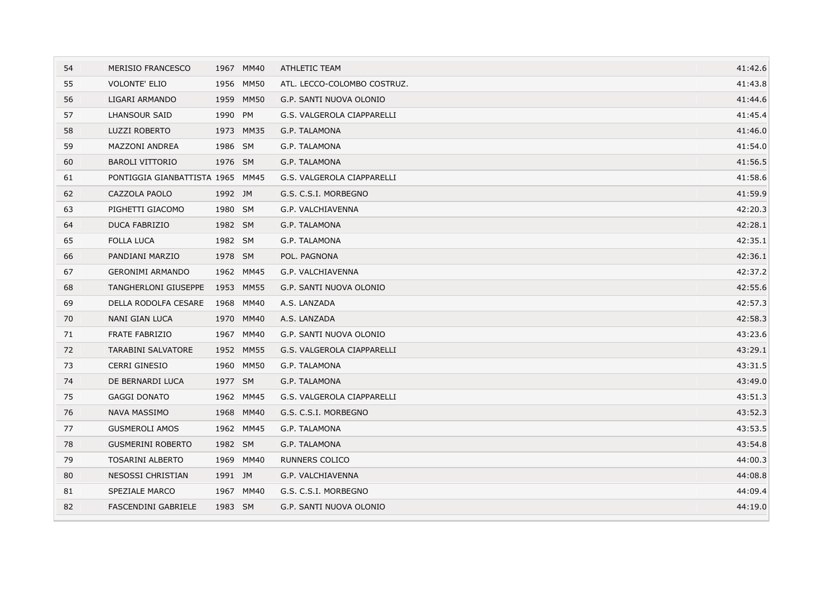| 54 | <b>MERISIO FRANCESCO</b>         |         | 1967 MM40 | ATHLETIC TEAM               | 41:42.6 |
|----|----------------------------------|---------|-----------|-----------------------------|---------|
| 55 | <b>VOLONTE' ELIO</b>             |         | 1956 MM50 | ATL. LECCO-COLOMBO COSTRUZ. | 41:43.8 |
| 56 | LIGARI ARMANDO                   |         | 1959 MM50 | G.P. SANTI NUOVA OLONIO     | 41:44.6 |
| 57 | LHANSOUR SAID                    | 1990 PM |           | G.S. VALGEROLA CIAPPARELLI  | 41:45.4 |
| 58 | <b>LUZZI ROBERTO</b>             |         | 1973 MM35 | G.P. TALAMONA               | 41:46.0 |
| 59 | <b>MAZZONI ANDREA</b>            | 1986 SM |           | G.P. TALAMONA               | 41:54.0 |
| 60 | <b>BAROLI VITTORIO</b>           | 1976 SM |           | G.P. TALAMONA               | 41:56.5 |
| 61 | PONTIGGIA GIANBATTISTA 1965 MM45 |         |           | G.S. VALGEROLA CIAPPARELLI  | 41:58.6 |
| 62 | CAZZOLA PAOLO                    | 1992 JM |           | G.S. C.S.I. MORBEGNO        | 41:59.9 |
| 63 | PIGHETTI GIACOMO                 | 1980 SM |           | G.P. VALCHIAVENNA           | 42:20.3 |
| 64 | DUCA FABRIZIO                    | 1982 SM |           | G.P. TALAMONA               | 42:28.1 |
| 65 | <b>FOLLA LUCA</b>                | 1982 SM |           | G.P. TALAMONA               | 42:35.1 |
| 66 | PANDIANI MARZIO                  | 1978 SM |           | POL. PAGNONA                | 42:36.1 |
| 67 | <b>GERONIMI ARMANDO</b>          |         | 1962 MM45 | G.P. VALCHIAVENNA           | 42:37.2 |
| 68 | TANGHERLONI GIUSEPPE             |         | 1953 MM55 | G.P. SANTI NUOVA OLONIO     | 42:55.6 |
| 69 | DELLA RODOLFA CESARE             |         | 1968 MM40 | A.S. LANZADA                | 42:57.3 |
| 70 | NANI GIAN LUCA                   |         | 1970 MM40 | A.S. LANZADA                | 42:58.3 |
| 71 | <b>FRATE FABRIZIO</b>            |         | 1967 MM40 | G.P. SANTI NUOVA OLONIO     | 43:23.6 |
| 72 | <b>TARABINI SALVATORE</b>        |         | 1952 MM55 | G.S. VALGEROLA CIAPPARELLI  | 43:29.1 |
| 73 | <b>CERRI GINESIO</b>             |         | 1960 MM50 | G.P. TALAMONA               | 43:31.5 |
| 74 | DE BERNARDI LUCA                 | 1977 SM |           | G.P. TALAMONA               | 43:49.0 |
| 75 | <b>GAGGI DONATO</b>              |         | 1962 MM45 | G.S. VALGEROLA CIAPPARELLI  | 43:51.3 |
| 76 | <b>NAVA MASSIMO</b>              |         | 1968 MM40 | G.S. C.S.I. MORBEGNO        | 43:52.3 |
| 77 | <b>GUSMEROLI AMOS</b>            |         | 1962 MM45 | G.P. TALAMONA               | 43:53.5 |
| 78 | <b>GUSMERINI ROBERTO</b>         | 1982 SM |           | G.P. TALAMONA               | 43:54.8 |
| 79 | <b>TOSARINI ALBERTO</b>          |         | 1969 MM40 | <b>RUNNERS COLICO</b>       | 44:00.3 |
| 80 | NESOSSI CHRISTIAN                | 1991 JM |           | G.P. VALCHIAVENNA           | 44:08.8 |
| 81 | SPEZIALE MARCO                   |         | 1967 MM40 | G.S. C.S.I. MORBEGNO        | 44:09.4 |
| 82 | FASCENDINI GABRIELE              | 1983 SM |           | G.P. SANTI NUOVA OLONIO     | 44:19.0 |
|    |                                  |         |           |                             |         |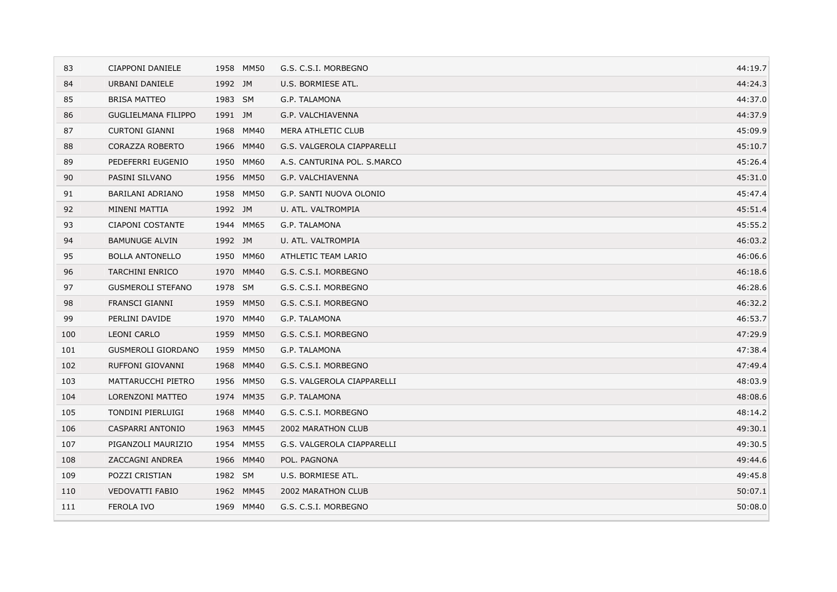| 83  | CIAPPONI DANIELE           | 1958 MM50           | G.S. C.S.I. MORBEGNO        | 44:19.7 |
|-----|----------------------------|---------------------|-----------------------------|---------|
| 84  | URBANI DANIELE             | 1992 JM             | U.S. BORMIESE ATL.          | 44:24.3 |
| 85  | <b>BRISA MATTEO</b>        | 1983 SM             | G.P. TALAMONA               | 44:37.0 |
| 86  | <b>GUGLIELMANA FILIPPO</b> | 1991 JM             | G.P. VALCHIAVENNA           | 44:37.9 |
| 87  | <b>CURTONI GIANNI</b>      | 1968 MM40           | MERA ATHLETIC CLUB          | 45:09.9 |
| 88  | CORAZZA ROBERTO            | 1966 MM40           | G.S. VALGEROLA CIAPPARELLI  | 45:10.7 |
| 89  | PEDEFERRI EUGENIO          | 1950 MM60           | A.S. CANTURINA POL. S.MARCO | 45:26.4 |
| 90  | PASINI SILVANO             | 1956 MM50           | G.P. VALCHIAVENNA           | 45:31.0 |
| 91  | BARILANI ADRIANO           | 1958 MM50           | G.P. SANTI NUOVA OLONIO     | 45:47.4 |
| 92  | MINENI MATTIA              | 1992 JM             | U. ATL. VALTROMPIA          | 45:51.4 |
| 93  | CIAPONI COSTANTE           | 1944 MM65           | G.P. TALAMONA               | 45:55.2 |
| 94  | <b>BAMUNUGE ALVIN</b>      | 1992 JM             | U. ATL. VALTROMPIA          | 46:03.2 |
| 95  | <b>BOLLA ANTONELLO</b>     | 1950 MM60           | ATHLETIC TEAM LARIO         | 46:06.6 |
| 96  | <b>TARCHINI ENRICO</b>     | MM40<br>1970        | G.S. C.S.I. MORBEGNO        | 46:18.6 |
| 97  | <b>GUSMEROLI STEFANO</b>   | 1978 SM             | G.S. C.S.I. MORBEGNO        | 46:28.6 |
| 98  | <b>FRANSCI GIANNI</b>      | 1959 MM50           | G.S. C.S.I. MORBEGNO        | 46:32.2 |
| 99  | PERLINI DAVIDE             | 1970 MM40           | G.P. TALAMONA               | 46:53.7 |
| 100 | <b>LEONI CARLO</b>         | 1959 MM50           | G.S. C.S.I. MORBEGNO        | 47:29.9 |
| 101 | <b>GUSMEROLI GIORDANO</b>  | 1959 MM50           | G.P. TALAMONA               | 47:38.4 |
| 102 | RUFFONI GIOVANNI           | 1968 MM40           | G.S. C.S.I. MORBEGNO        | 47:49.4 |
| 103 | MATTARUCCHI PIETRO         | <b>MM50</b><br>1956 | G.S. VALGEROLA CIAPPARELLI  | 48:03.9 |
| 104 | LORENZONI MATTEO           | 1974 MM35           | G.P. TALAMONA               | 48:08.6 |
| 105 | TONDINI PIERLUIGI          | 1968<br>MM40        | G.S. C.S.I. MORBEGNO        | 48:14.2 |
| 106 | CASPARRI ANTONIO           | 1963 MM45           | 2002 MARATHON CLUB          | 49:30.1 |
| 107 | PIGANZOLI MAURIZIO         | 1954 MM55           | G.S. VALGEROLA CIAPPARELLI  | 49:30.5 |
| 108 | ZACCAGNI ANDREA            | 1966 MM40           | POL. PAGNONA                | 49:44.6 |
| 109 | POZZI CRISTIAN             | 1982 SM             | U.S. BORMIESE ATL.          | 49:45.8 |
| 110 | <b>VEDOVATTI FABIO</b>     | 1962 MM45           | 2002 MARATHON CLUB          | 50:07.1 |
| 111 | FEROLA IVO                 | 1969 MM40           | G.S. C.S.I. MORBEGNO        | 50:08.0 |
|     |                            |                     |                             |         |